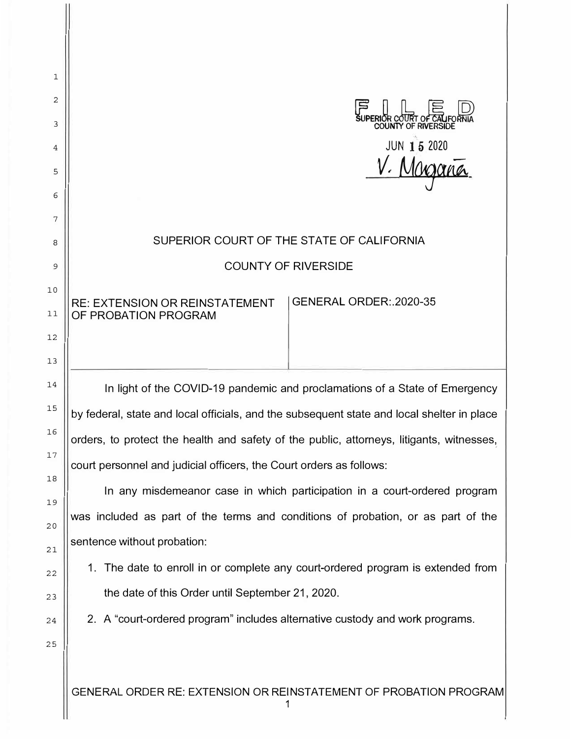| 1        |                                                                                            |
|----------|--------------------------------------------------------------------------------------------|
| 2        |                                                                                            |
| 3        | OR COURT OF CAL<br><b>COUNTY OF RIVERSIDE</b>                                              |
| 4        | JUN 15 2020                                                                                |
| 5        |                                                                                            |
| 6        |                                                                                            |
| 7        |                                                                                            |
| 8        | SUPERIOR COURT OF THE STATE OF CALIFORNIA                                                  |
| 9        | <b>COUNTY OF RIVERSIDE</b>                                                                 |
| 10       | GENERAL ORDER: 2020-35<br><b>RE: EXTENSION OR REINSTATEMENT</b>                            |
| 11<br>12 | OF PROBATION PROGRAM                                                                       |
| 13       |                                                                                            |
| 14       | In light of the COVID-19 pandemic and proclamations of a State of Emergency                |
| 15       | by federal, state and local officials, and the subsequent state and local shelter in place |
| 16       | orders, to protect the health and safety of the public, attorneys, litigants, witnesses,   |
| 17       | court personnel and judicial officers, the Court orders as follows:                        |
| 18       | In any misdemeanor case in which participation in a court-ordered program                  |
| 19       | was included as part of the terms and conditions of probation, or as part of the           |
| 20<br>21 | sentence without probation:                                                                |
| 22       | 1. The date to enroll in or complete any court-ordered program is extended from            |
| 23       | the date of this Order until September 21, 2020.                                           |
| 24       | 2. A "court-ordered program" includes alternative custody and work programs.               |
| 25       |                                                                                            |
|          |                                                                                            |
|          | GENERAL ORDER RE: EXTENSION OR REINSTATEMENT OF PROBATION PROGRAM                          |
|          |                                                                                            |